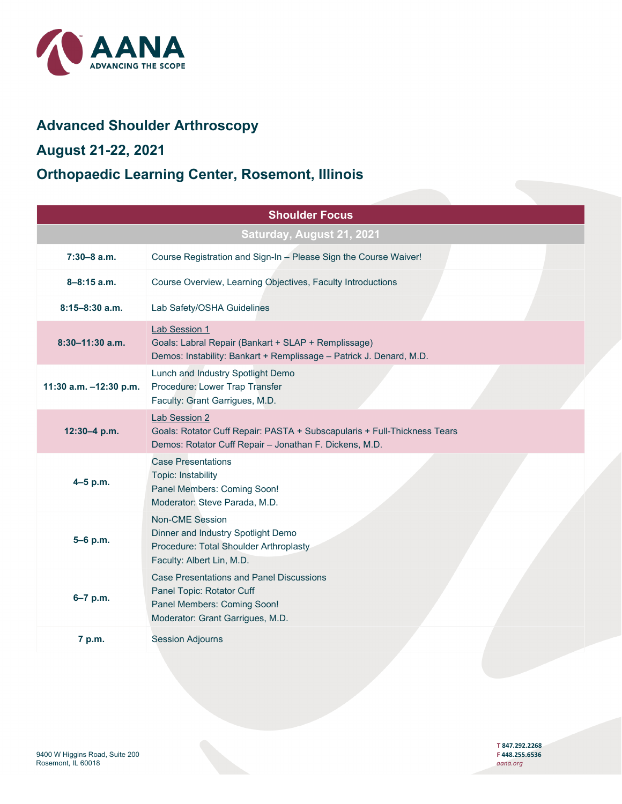

## **Advanced Shoulder Arthroscopy**

## **August 21-22, 2021**

## **Orthopaedic Learning Center, Rosemont, Illinois**

|                           | <b>Shoulder Focus</b>                                                                                                                                      |  |  |  |
|---------------------------|------------------------------------------------------------------------------------------------------------------------------------------------------------|--|--|--|
| Saturday, August 21, 2021 |                                                                                                                                                            |  |  |  |
| $7:30-8$ a.m.             | Course Registration and Sign-In - Please Sign the Course Waiver!                                                                                           |  |  |  |
| $8 - 8:15$ a.m.           | Course Overview, Learning Objectives, Faculty Introductions                                                                                                |  |  |  |
| $8:15 - 8:30$ a.m.        | Lab Safety/OSHA Guidelines                                                                                                                                 |  |  |  |
| $8:30-11:30$ a.m.         | Lab Session 1<br>Goals: Labral Repair (Bankart + SLAP + Remplissage)<br>Demos: Instability: Bankart + Remplissage - Patrick J. Denard, M.D.                |  |  |  |
| 11:30 a.m. -12:30 p.m.    | Lunch and Industry Spotlight Demo<br>Procedure: Lower Trap Transfer<br>Faculty: Grant Garrigues, M.D.                                                      |  |  |  |
| $12:30 - 4 p.m.$          | <b>Lab Session 2</b><br>Goals: Rotator Cuff Repair: PASTA + Subscapularis + Full-Thickness Tears<br>Demos: Rotator Cuff Repair - Jonathan F. Dickens, M.D. |  |  |  |
| $4 - 5$ p.m.              | <b>Case Presentations</b><br>Topic: Instability<br>Panel Members: Coming Soon!<br>Moderator: Steve Parada, M.D.                                            |  |  |  |
| 5-6 p.m.                  | <b>Non-CME Session</b><br>Dinner and Industry Spotlight Demo<br>Procedure: Total Shoulder Arthroplasty<br>Faculty: Albert Lin, M.D.                        |  |  |  |
| 6-7 p.m.                  | <b>Case Presentations and Panel Discussions</b><br>Panel Topic: Rotator Cuff<br>Panel Members: Coming Soon!<br>Moderator: Grant Garrigues, M.D.            |  |  |  |
| 7 p.m.                    | <b>Session Adjourns</b>                                                                                                                                    |  |  |  |

**T 847.292.2268**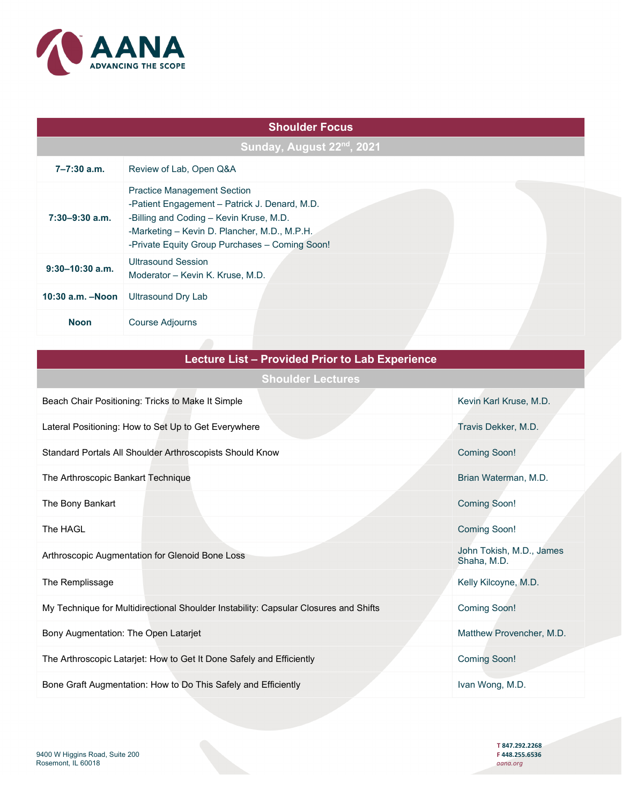

|  | <b>Shoulder Focus</b> |
|--|-----------------------|
|  |                       |

| Sunday, August 22 <sup>nd</sup> , 2021 |                                                                                                                                                                                                                                  |  |  |  |
|----------------------------------------|----------------------------------------------------------------------------------------------------------------------------------------------------------------------------------------------------------------------------------|--|--|--|
| 7–7:30 a.m.                            | Review of Lab, Open Q&A                                                                                                                                                                                                          |  |  |  |
| $7:30 - 9:30$ a.m.                     | <b>Practice Management Section</b><br>-Patient Engagement - Patrick J. Denard, M.D.<br>-Billing and Coding - Kevin Kruse, M.D.<br>-Marketing - Kevin D. Plancher, M.D., M.P.H.<br>-Private Equity Group Purchases - Coming Soon! |  |  |  |
| $9:30-10:30$ a.m.                      | <b>Ultrasound Session</b><br>Moderator - Kevin K. Kruse, M.D.                                                                                                                                                                    |  |  |  |
| $10:30$ a.m. $-$ Noon                  | Ultrasound Dry Lab                                                                                                                                                                                                               |  |  |  |
| <b>Noon</b>                            | Course Adjourns                                                                                                                                                                                                                  |  |  |  |

| <b>Lecture List - Provided Prior to Lab Experience</b>                               |                                         |  |  |
|--------------------------------------------------------------------------------------|-----------------------------------------|--|--|
| <b>Shoulder Lectures</b>                                                             |                                         |  |  |
| Beach Chair Positioning: Tricks to Make It Simple                                    | Kevin Karl Kruse, M.D.                  |  |  |
| Lateral Positioning: How to Set Up to Get Everywhere                                 | Travis Dekker, M.D.                     |  |  |
| Standard Portals All Shoulder Arthroscopists Should Know                             | <b>Coming Soon!</b>                     |  |  |
| The Arthroscopic Bankart Technique                                                   | Brian Waterman, M.D.                    |  |  |
| The Bony Bankart                                                                     | <b>Coming Soon!</b>                     |  |  |
| The HAGL                                                                             | <b>Coming Soon!</b>                     |  |  |
| Arthroscopic Augmentation for Glenoid Bone Loss                                      | John Tokish, M.D., James<br>Shaha, M.D. |  |  |
| The Remplissage                                                                      | Kelly Kilcoyne, M.D.                    |  |  |
| My Technique for Multidirectional Shoulder Instability: Capsular Closures and Shifts | <b>Coming Soon!</b>                     |  |  |
| Bony Augmentation: The Open Latarjet                                                 | Matthew Provencher, M.D.                |  |  |
| The Arthroscopic Latarjet: How to Get It Done Safely and Efficiently                 | <b>Coming Soon!</b>                     |  |  |
| Bone Graft Augmentation: How to Do This Safely and Efficiently                       | Ivan Wong, M.D.                         |  |  |
|                                                                                      |                                         |  |  |